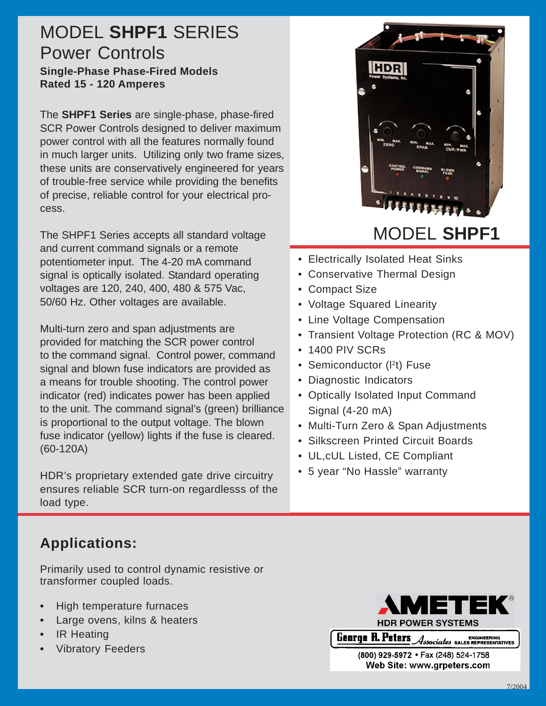## MODEL **SHPF1** SERIES Power Controls

**Single-Phase Phase-Fired Models Rated 15 - 120 Amperes**

The **SHPF1 Series** are single-phase, phase-fired SCR Power Controls designed to deliver maximum power control with all the features normally found in much larger units. Utilizing only two frame sizes, these units are conservatively engineered for years of trouble-free service while providing the benefits of precise, reliable control for your electrical process.

The SHPF1 Series accepts all standard voltage and current command signals or a remote potentiometer input. The 4-20 mA command signal is optically isolated. Standard operating voltages are 120, 240, 400, 480 & 575 Vac, 50/60 Hz. Other voltages are available.

Multi-turn zero and span adjustments are provided for matching the SCR power control to the command signal. Control power, command signal and blown fuse indicators are provided as a means for trouble shooting. The control power indicator (red) indicates power has been applied to the unit. The command signal's (green) brilliance is proportional to the output voltage. The blown fuse indicator (yellow) lights if the fuse is cleared. (60-120A)

HDR's proprietary extended gate drive circuitry ensures reliable SCR turn-on regardlesss of the load type.

### **Applications:**

Primarily used to control dynamic resistive or transformer coupled loads.

- **•** High temperature furnaces
- **•** Large ovens, kilns & heaters
- **•** IR Heating
- **•** Vibratory Feeders



- Electrically Isolated Heat Sinks
- Conservative Thermal Design
- Compact Size
- Voltage Squared Linearity
- Line Voltage Compensation
- Transient Voltage Protection (RC & MOV)
- 1400 PIV SCRs
- Semiconductor (I<sup>2</sup>t) Fuse
- Diagnostic Indicators
- Optically Isolated Input Command Signal (4-20 mA)
- Multi-Turn Zero & Span Adjustments
- Silkscreen Printed Circuit Boards
- UL,cUL Listed, CE Compliant
- 5 year "No Hassle" warranty



(800) 929-5972 · Fax (248) 524-1758 Web Site: www.grpeters.com